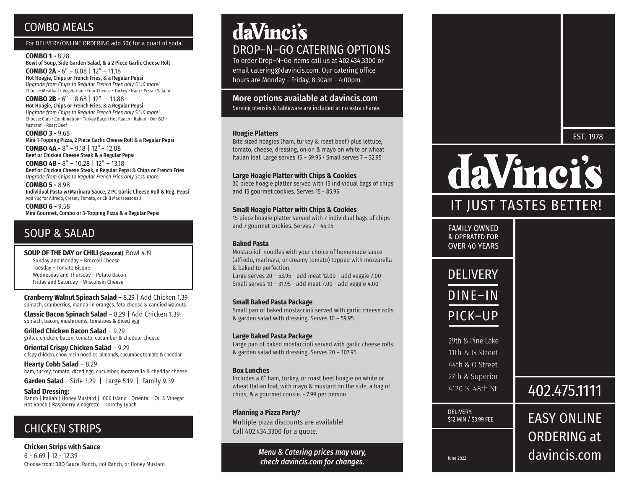## COMBO MEALS

#### For DELIVERY/ONLINE ORDERING add 50¢ for a quart of soda.

#### **COMBO 1 -** 8.28

Bowl of Soup, Side Garden Salad, & a 2 Piece Garlic Cheese Roll **COMBO 2A -** 6" – 8.08 | 12" – 11.18 Hot Hoagie, Chips or French Fries, & a Regular Pepsi *Upgrade from Chips to Regular French Fries only \$1.10 more!* Choose: Meatball • Vegetarian • Four Cheese • Turkey • Ham • Pizza • Salami

**COMBO 2B -** 6" – 8.68 | 12" – 11.88 Hot Hoagie, Chips or French Fries, & a Regular Pepsi *Upgrade from Chips to Regular French Fries only \$1.10 more!* Choose: Club • Combination • Turkey Bacon Hot Ranch • Italian • Our BLT • Pastrami • Roast Beef

**COMBO 3 -** 9.68 Mini 1-Topping Pizza, 2 Piece Garlic Cheese Roll & a Regular Pepsi **COMBO 4A -** 8" – 9.18 | 12" - 12.08

Beef or Chicken Cheese Steak & a Regular Pepsi **COMBO 4B -** 8" – 10.28 | 12" – 13.18

Beef or Chicken Cheese Steak, a Regular Pepsi & Chips or French Fries *Upgrade from Chips to Regular French Fries only \$1.10 more!*

**COMBO 5 -** 8.98 Individual Pasta w/Marinara Sauce, 2 PC Garlic Cheese Roll & Reg. Pepsi Add 90¢ for Alfredo, Creamy Tomato, or Chili Mac (seasonal)

**COMBO 6 -** 9.58 Mini Gourmet, Combo or 3-Topping Pizza & a Regular Pepsi

## SOUP & SALAD

**SOUP OF THE DAY or CHILI (Seasonal)** Bowl 4.19 Sunday and Monday – Broccoli Cheese Tuesday – Tomato Bisque Wednesday and Thursday – Potato Bacon Friday and Saturday – Wisconsin Cheese

**Cranberry Walnut Spinach Salad** – 8.29 | Add Chicken 1.39 spinach, cranberries, mandarin oranges, feta cheese & candied walnuts

**Classic Bacon Spinach Salad** – 8.29 | Add Chicken 1.39 spinach, bacon, mushrooms, tomatoes & diced egg

**Grilled Chicken Bacon Salad** – 9.29 grilled chicken, bacon, tomato, cucumber & cheddar cheese

**Oriental Crispy Chicken Salad** – 9.29 crispy chicken, chow mein noodles, almonds, cucumber, tomato & cheddar

**Hearty Cobb Salad** – 8.29 ham, turkey, tomato, diced egg, cucumber, mozzarella & cheddar cheese

**Garden Salad** – Side 3.29 | Large 5.19 | Family 9.39

**Salad Dressing:** Ranch | Italian | Honey Mustard | 1000 Island | Oriental | Oil & Vinegar Hot Ranch | Raspberry Vinagrette | Dorothy Lynch

## CHICKEN STRIPS

**Chicken Strips with Sauce**  6 - 6.69 | 12 - 12.39 Choose from: BBQ Sauce, Ranch, Hot Ranch, or Honey Mustard

# daVinci's DROP–N–GO CATERING OPTIONS

To order Drop–N–Go items call us at 402.434.3300 or email catering@davincis.com. Our catering office hours are Monday - Friday, 8:30am - 4:00pm.

## More options available at davincis.com

Serving utensils & tableware are included at no extra charge.

#### **Hoagie Platters**

Bite sized hoagies (ham, turkey & roast beef) plus lettuce, tomato, cheese, dressing, onion & mayo on white or wheat Italian loaf. Large serves 15 – 59.95 • Small serves 7 – 32.95

#### **Large Hoagie Platter with Chips & Cookies**

30 piece hoagie platter served with 15 individual bags of chips and 15 gourmet cookies. Serves 15 - 85.95

#### **Small Hoagie Platter with Chips & Cookies**

15 piece hoagie platter served with 7 individual bags of chips and 7 gourmet cookies. Serves 7 - 45.95

#### **Baked Pasta**

Mostaccioli noodles with your choice of homemade sauce (alfredo, marinara, or creamy tomato) topped with mozzarella & baked to perfection. Large serves 20 – 53.95 - add meat 12.00 - add veggie 7.00 Small serves 10 – 31.95 - add meat 7.00 - add veggie 4.00

#### **Small Baked Pasta Package**

Small pan of baked mostaccioli served with garlic cheese rolls & garden salad with dressing. Serves 10 – 59.95

#### **Large Baked Pasta Package**

Large pan of baked mostaccioli served with garlic cheese rolls & garden salad with dressing. Serves 20 – 107.95

#### **Box Lunches**

Includes a 6" ham, turkey, or roast beef hoagie on white or wheat Italian loaf, with mayo & mustard on the side, a bag of chips, & a gourmet cookie. - 7.99 per person

#### **Planning a Pizza Party?**

Multiple pizza discounts are available! Call 402.434.3300 for a quote.

> *Menu & Catering prices may vary,*  refleck davincis.com for changes.



# daVincis

## IT JUST TASTES BETTER!

**FAMILY OWNED** & OPERATED FOR **OVER 40 YEARS** 





29th & Pine Lake 11th & G Street 44th & O Street 27th & Superior 4120 S. 48th St.

DELIVERY: \$12 MIN / \$3.99 FEE

## 402.475.1111

EASY ONLINE ORDERING at davincis.com